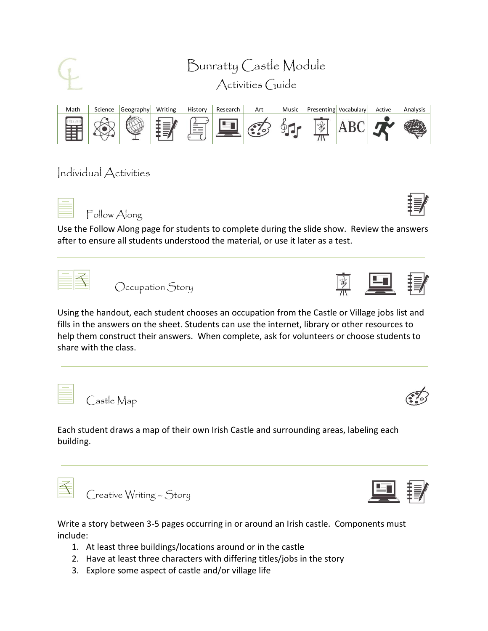



Individual Activities



Follow Along

Use the Follow Along page for students to complete during the slide show. Review the answers after to ensure all students understood the material, or use it later as a test.



Occupation Story



Using the handout, each student chooses an occupation from the Castle or Village jobs list and fills in the answers on the sheet. Students can use the internet, library or other resources to help them construct their answers. When complete, ask for volunteers or choose students to share with the class.

Castle Map

Each student draws a map of their own Irish Castle and surrounding areas, labeling each building.



Creative Writing – Story

Write a story between 3-5 pages occurring in or around an Irish castle. Components must include:

- 1. At least three buildings/locations around or in the castle
- 2. Have at least three characters with differing titles/jobs in the story
- 3. Explore some aspect of castle and/or village life



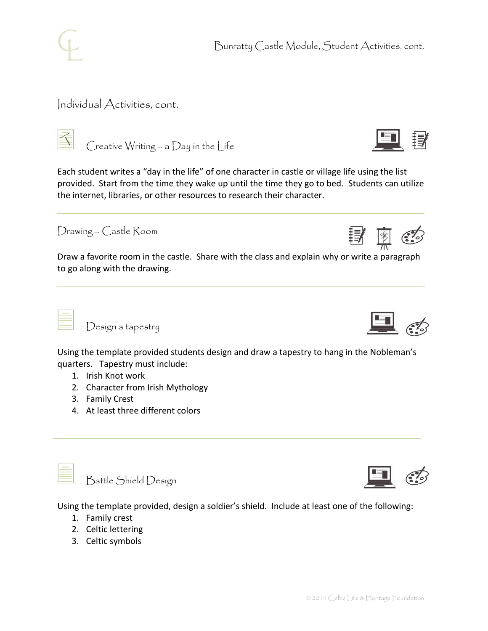

## Individual Activities, cont.



Creative Writing – a Day in the Life

Each student writes a "day in the life" of one character in castle or village life using the list provided. Start from the time they wake up until the time they go to bed. Students can utilize the internet, libraries, or other resources to research their character.

Drawing – Castle Room

Draw a favorite room in the castle. Share with the class and explain why or write a paragraph to go along with the drawing.

Design a tapestry

Using the template provided students design and draw a tapestry to hang in the Nobleman's quarters. Tapestry must include:

- 1. Irish Knot work
- 2. Character from Irish Mythology
- 3. Family Crest
- 4. At least three different colors



Battle Shield Design



Using the template provided, design a soldier's shield. Include at least one of the following:

- 1. Family crest
- 2. Celtic lettering
- 3. Celtic symbols



| 图

┋*╡* 

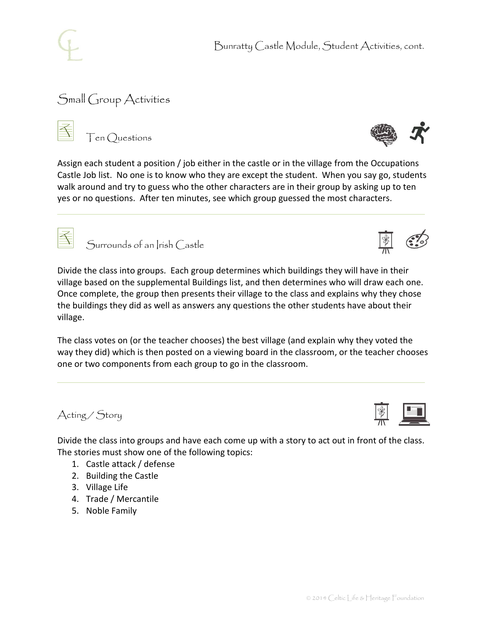

## Small Group Activities

Ten Questions



Assign each student a position / job either in the castle or in the village from the Occupations Castle Job list. No one is to know who they are except the student. When you say go, students walk around and try to guess who the other characters are in their group by asking up to ten yes or no questions. After ten minutes, see which group guessed the most characters.



Surrounds of an Irish Castle

Divide the class into groups. Each group determines which buildings they will have in their village based on the supplemental Buildings list, and then determines who will draw each one. Once complete, the group then presents their village to the class and explains why they chose the buildings they did as well as answers any questions the other students have about their village.

The class votes on (or the teacher chooses) the best village (and explain why they voted the way they did) which is then posted on a viewing board in the classroom, or the teacher chooses one or two components from each group to go in the classroom.

Acting / Story

Divide the class into groups and have each come up with a story to act out in front of the class. The stories must show one of the following topics:

- 1. Castle attack / defense
- 2. Building the Castle
- 3. Village Life
- 4. Trade / Mercantile
- 5. Noble Family



| ave in their |  |
|--------------|--|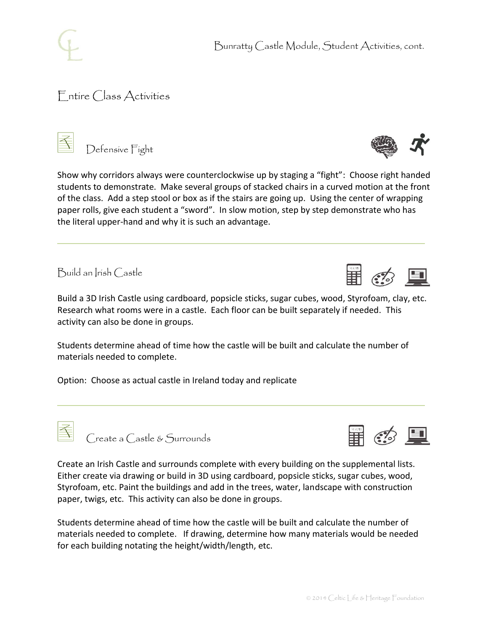## Entire Class Activities

Defensive Fight

Build an Irish Castle

Build a 3D Irish Castle using cardboard, popsicle sticks, sugar cubes, wood, Styrofoam, clay, etc. Research what rooms were in a castle. Each floor can be built separately if needed. This activity can also be done in groups.

Show why corridors always were counterclockwise up by staging a "fight": Choose right handed students to demonstrate. Make several groups of stacked chairs in a curved motion at the front of the class. Add a step stool or box as if the stairs are going up. Using the center of wrapping paper rolls, give each student a "sword". In slow motion, step by step demonstrate who has

Students determine ahead of time how the castle will be built and calculate the number of materials needed to complete.

Option: Choose as actual castle in Ireland today and replicate

the literal upper-hand and why it is such an advantage.

Create a Castle & Surrounds

Create an Irish Castle and surrounds complete with every building on the supplemental lists. Either create via drawing or build in 3D using cardboard, popsicle sticks, sugar cubes, wood, Styrofoam, etc. Paint the buildings and add in the trees, water, landscape with construction paper, twigs, etc. This activity can also be done in groups.

Students determine ahead of time how the castle will be built and calculate the number of materials needed to complete. If drawing, determine how many materials would be needed for each building notating the height/width/length, etc.